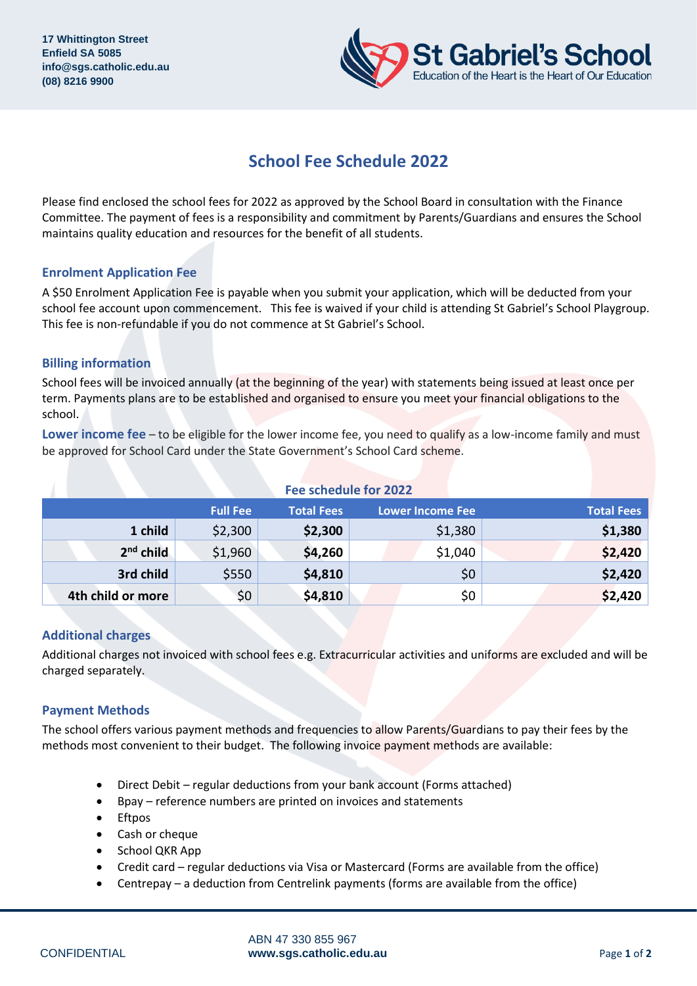

# **School Fee Schedule 2022**

Please find enclosed the school fees for 2022 as approved by the School Board in consultation with the Finance Committee. The payment of fees is a responsibility and commitment by Parents/Guardians and ensures the School maintains quality education and resources for the benefit of all students.

# **Enrolment Application Fee**

A \$50 Enrolment Application Fee is payable when you submit your application, which will be deducted from your school fee account upon commencement. This fee is waived if your child is attending St Gabriel's School Playgroup. This fee is non-refundable if you do not commence at St Gabriel's School.

# **Billing information**

School fees will be invoiced annually (at the beginning of the year) with statements being issued at least once per term. Payments plans are to be established and organised to ensure you meet your financial obligations to the school.

**Lower income fee** – to be eligible for the lower income fee, you need to qualify as a low-income family and must be approved for School Card under the State Government's School Card scheme.

| Fee schedule for 2022 |                 |                   |                         |                   |  |  |  |  |
|-----------------------|-----------------|-------------------|-------------------------|-------------------|--|--|--|--|
|                       | <b>Full Fee</b> | <b>Total Fees</b> | <b>Lower Income Fee</b> | <b>Total Fees</b> |  |  |  |  |
| 1 child               | \$2,300         | \$2,300           | \$1,380                 | \$1,380           |  |  |  |  |
| $2nd$ child           | \$1,960         | \$4,260           | \$1,040                 | \$2,420           |  |  |  |  |
| 3rd child             | \$550           | \$4,810           | \$0                     | \$2,420           |  |  |  |  |
| 4th child or more     | \$0             | \$4,810           | \$0                     | \$2,420           |  |  |  |  |

## **Additional charges**

Additional charges not invoiced with school fees e.g. Extracurricular activities and uniforms are excluded and will be charged separately.

## **Payment Methods**

The school offers various payment methods and frequencies to allow Parents/Guardians to pay their fees by the methods most convenient to their budget. The following invoice payment methods are available:

- Direct Debit regular deductions from your bank account (Forms attached)
- Bpay reference numbers are printed on invoices and statements
- **Eftpos**
- Cash or cheque
- School QKR App
- Credit card regular deductions via Visa or Mastercard (Forms are available from the office)
- Centrepay a deduction from Centrelink payments (forms are available from the office)